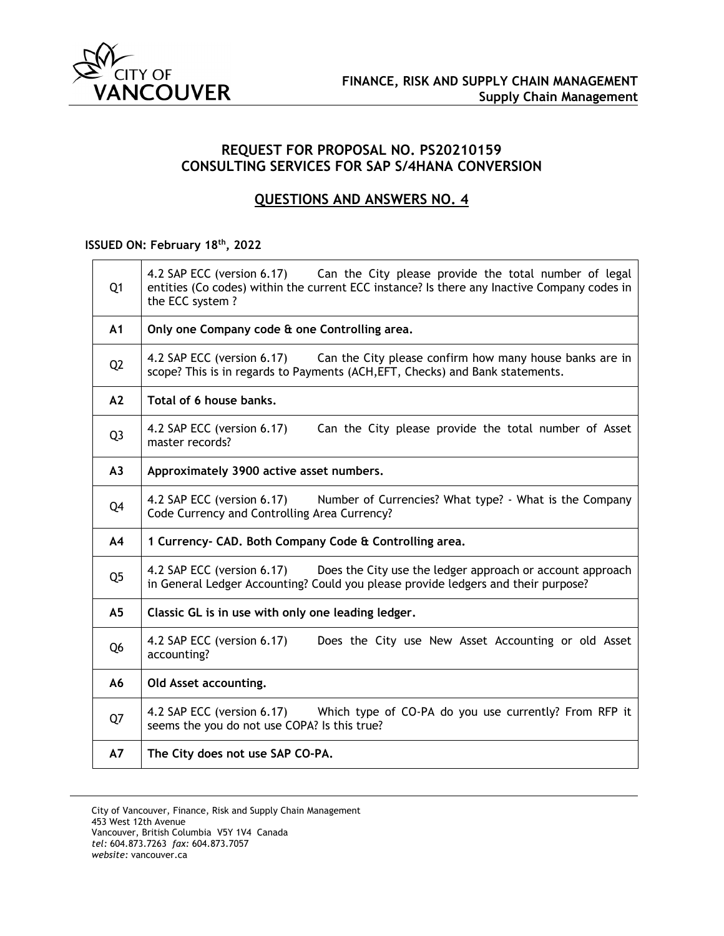

## **REQUEST FOR PROPOSAL NO. PS20210159 CONSULTING SERVICES FOR SAP S/4HANA CONVERSION**

# **QUESTIONS AND ANSWERS NO. 4**

### **ISSUED ON: February 18th, 2022**

| Q <sub>1</sub> | 4.2 SAP ECC (version 6.17) Can the City please provide the total number of legal<br>entities (Co codes) within the current ECC instance? Is there any Inactive Company codes in<br>the ECC system? |
|----------------|----------------------------------------------------------------------------------------------------------------------------------------------------------------------------------------------------|
| A <sub>1</sub> | Only one Company code & one Controlling area.                                                                                                                                                      |
| Q <sub>2</sub> | Can the City please confirm how many house banks are in<br>4.2 SAP ECC (version 6.17)<br>scope? This is in regards to Payments (ACH, EFT, Checks) and Bank statements.                             |
| A2             | Total of 6 house banks.                                                                                                                                                                            |
| Q <sub>3</sub> | Can the City please provide the total number of Asset<br>4.2 SAP ECC (version 6.17)<br>master records?                                                                                             |
| A <sub>3</sub> | Approximately 3900 active asset numbers.                                                                                                                                                           |
| Q4             | 4.2 SAP ECC (version 6.17)<br>Number of Currencies? What type? - What is the Company<br>Code Currency and Controlling Area Currency?                                                               |
| A <sub>4</sub> | 1 Currency- CAD. Both Company Code & Controlling area.                                                                                                                                             |
| Q <sub>5</sub> | 4.2 SAP ECC (version 6.17)<br>Does the City use the ledger approach or account approach<br>in General Ledger Accounting? Could you please provide ledgers and their purpose?                       |
| A <sub>5</sub> | Classic GL is in use with only one leading ledger.                                                                                                                                                 |
| Q <sub>6</sub> | 4.2 SAP ECC (version 6.17)<br>Does the City use New Asset Accounting or old Asset<br>accounting?                                                                                                   |
| A6             | Old Asset accounting.                                                                                                                                                                              |
| Q7             | 4.2 SAP ECC (version 6.17) Which type of CO-PA do you use currently? From RFP it<br>seems the you do not use COPA? Is this true?                                                                   |
| <b>A7</b>      | The City does not use SAP CO-PA.                                                                                                                                                                   |

City of Vancouver, Finance, Risk and Supply Chain Management 453 West 12th Avenue Vancouver, British Columbia V5Y 1V4 Canada *tel:* 604.873.7263 *fax:* 604.873.7057 *website:* vancouver.ca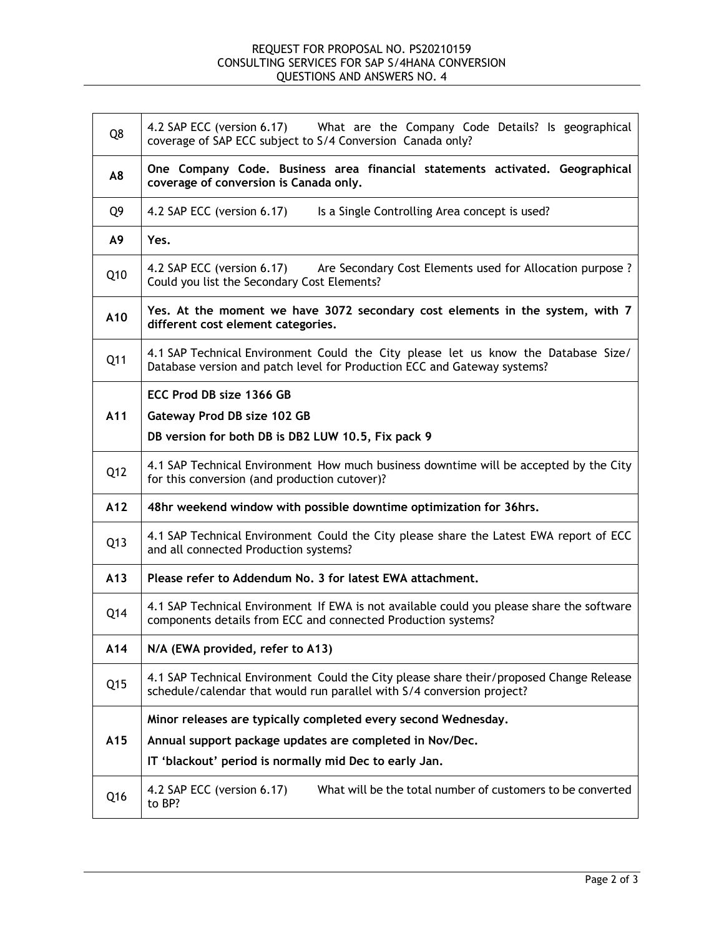### REQUEST FOR PROPOSAL NO. PS20210159 CONSULTING SERVICES FOR SAP S/4HANA CONVERSION QUESTIONS AND ANSWERS NO. 4

| Q8  | 4.2 SAP ECC (version 6.17) What are the Company Code Details? Is geographical<br>coverage of SAP ECC subject to S/4 Conversion Canada only?                       |
|-----|-------------------------------------------------------------------------------------------------------------------------------------------------------------------|
| A8  | One Company Code. Business area financial statements activated. Geographical<br>coverage of conversion is Canada only.                                            |
| Q9  | 4.2 SAP ECC (version 6.17)<br>Is a Single Controlling Area concept is used?                                                                                       |
| A9  | Yes.                                                                                                                                                              |
| Q10 | 4.2 SAP ECC (version 6.17) Are Secondary Cost Elements used for Allocation purpose ?<br>Could you list the Secondary Cost Elements?                               |
| A10 | Yes. At the moment we have 3072 secondary cost elements in the system, with 7<br>different cost element categories.                                               |
| Q11 | 4.1 SAP Technical Environment Could the City please let us know the Database Size/<br>Database version and patch level for Production ECC and Gateway systems?    |
| A11 | ECC Prod DB size 1366 GB<br>Gateway Prod DB size 102 GB<br>DB version for both DB is DB2 LUW 10.5, Fix pack 9                                                     |
| Q12 | 4.1 SAP Technical Environment How much business downtime will be accepted by the City<br>for this conversion (and production cutover)?                            |
| A12 | 48hr weekend window with possible downtime optimization for 36hrs.                                                                                                |
| Q13 | 4.1 SAP Technical Environment Could the City please share the Latest EWA report of ECC<br>and all connected Production systems?                                   |
| A13 | Please refer to Addendum No. 3 for latest EWA attachment.                                                                                                         |
| Q14 | 4.1 SAP Technical Environment If EWA is not available could you please share the software<br>components details from ECC and connected Production systems?        |
| A14 | N/A (EWA provided, refer to A13)                                                                                                                                  |
| Q15 | 4.1 SAP Technical Environment Could the City please share their/proposed Change Release<br>schedule/calendar that would run parallel with S/4 conversion project? |
|     | Minor releases are typically completed every second Wednesday.                                                                                                    |
| A15 | Annual support package updates are completed in Nov/Dec.                                                                                                          |
|     | IT 'blackout' period is normally mid Dec to early Jan.                                                                                                            |
| Q16 | What will be the total number of customers to be converted<br>4.2 SAP ECC (version 6.17)<br>to BP?                                                                |